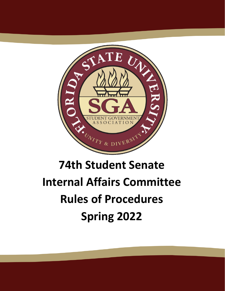

# **74th Student Senate Internal Affairs Committee Rules of Procedures Spring 2022**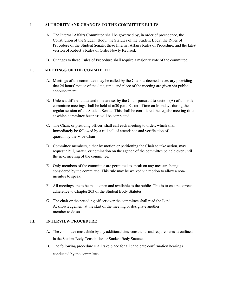# I. **AUTHORITY AND CHANGES TO THE COMMITTEE RULES**

- A. The Internal Affairs Committee shall be governed by, in order of precedence, the Constitution of the Student Body, the Statutes of the Student Body, the Rules of Procedure of the Student Senate, these Internal Affairs Rules of Procedure, and the latest version of Robert's Rules of Order Newly Revised.
- B. Changes to these Rules of Procedure shall require a majority vote of the committee.

## II. **MEETINGS OF THE COMMITTEE**

- A. Meetings of the committee may be called by the Chair as deemed necessary providing that 24 hours' notice of the date, time, and place of the meeting are given via public announcement.
- B. Unless a different date and time are set by the Chair pursuant to section (A) of this rule, committee meetings shall be held at 6:30 p.m. Eastern Time on Mondays during the regular session of the Student Senate. This shall be considered the regular meeting time at which committee business will be completed.
- C. The Chair, or presiding officer, shall call each meeting to order, which shall immediately be followed by a roll call of attendance and verification of quorum by the Vice-Chair.
- D. Committee members, either by motion or petitioning the Chair to take action, may request a bill, matter, or nomination on the agenda of the committee be held over until the next meeting of the committee.
- E. Only members of the committee are permitted to speak on any measure being considered by the committee. This rule may be waived via motion to allow a nonmember to speak.
- F. All meetings are to be made open and available to the public. This is to ensure correct adherence to Chapter 203 of the Student Body Statutes.
- **G.** The chair or the presiding officer over the committee shall read the Land Acknowledgement at the start of the meeting or designate another member to do so.

# III. **INTERVIEW PROCEDURE**

- A. The committee must abide by any additional time constraints and requirements as outlined in the Student Body Constitution or Student Body Statutes.
- B. The following procedure shall take place for all candidate confirmation hearings conducted by the committee: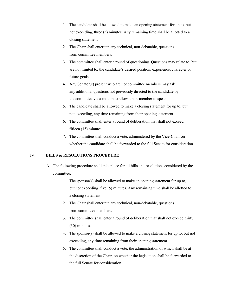- 1. The candidate shall be allowed to make an opening statement for up to, but not exceeding, three (3) minutes. Any remaining time shall be allotted to a closing statement.
- 2. The Chair shall entertain any technical, non-debatable, questions from committee members.
- 3. The committee shall enter a round of questioning. Questions may relate to, but are not limited to, the candidate's desired position, experience, character or future goals.
- 4. Any Senator(s) present who are not committee members may ask any additional questions not previously directed to the candidate by the committee via a motion to allow a non-member to speak.
- 5. The candidate shall be allowed to make a closing statement for up to, but not exceeding, any time remaining from their opening statement.
- 6. The committee shall enter a round of deliberation that shall not exceed fifteen (15) minutes.
- 7. The committee shall conduct a vote, administered by the Vice-Chair on whether the candidate shall be forwarded to the full Senate for consideration.

# IV. **BILLS & RESOLUTIONS PROCEDURE**

- A. The following procedure shall take place for all bills and resolutions considered by the committee:
	- 1. The sponsor(s) shall be allowed to make an opening statement for up to, but not exceeding, five (5) minutes. Any remaining time shall be allotted to a closing statement.
	- 2. The Chair shall entertain any technical, non-debatable, questions from committee members.
	- 3. The committee shall enter a round of deliberation that shall not exceed thirty (30) minutes.
	- 4. The sponsor(s) shall be allowed to make a closing statement for up to, but not exceeding, any time remaining from their opening statement.
	- 5. The committee shall conduct a vote, the administration of which shall be at the discretion of the Chair, on whether the legislation shall be forwarded to the full Senate for consideration.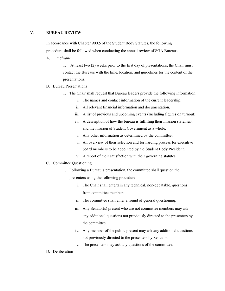## V. **BUREAU REVIEW**

In accordance with Chapter 900.5 of the Student Body Statutes, the following procedure shall be followed when conducting the annual review of SGA Bureaus.

A. Timeframe

1. At least two (2) weeks prior to the first day of presentations, the Chair must contact the Bureaus with the time, location, and guidelines for the content of the presentations.

#### B. Bureau Presentations

- 1. The Chair shall request that Bureau leaders provide the following information:
	- i. The names and contact information of the current leadership.
	- ii. All relevant financial information and documentation.
	- iii. A list of previous and upcoming events (Including figures on turnout).
	- iv. A description of how the bureau is fulfilling their mission statement and the mission of Student Government as a whole.
	- v. Any other information as determined by the committee.
	- vi. An overview of their selection and forwarding process for executive board members to be appointed by the Student Body President.
	- vii. A report of their satisfaction with their governing statutes.

#### C. Committee Questioning

- 1. Following a Bureau's presentation, the committee shall question the presenters using the following procedure:
	- i. The Chair shall entertain any technical, non-debatable, questions from committee members.
	- ii. The committee shall enter a round of general questioning.
	- iii. Any Senator(s) present who are not committee members may ask any additional questions not previously directed to the presenters by the committee.
	- iv. Any member of the public present may ask any additional questions not previously directed to the presenters by Senators.
	- v. The presenters may ask any questions of the committee.
- D. Deliberation